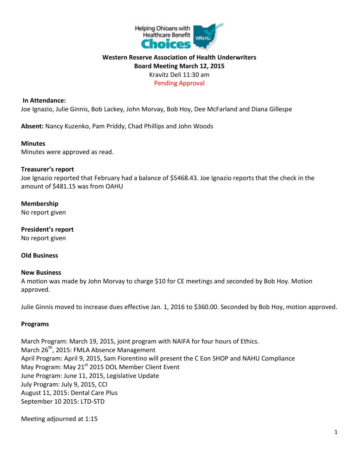

## **Western Reserve Association of Health Underwriters Board Meeting March 12, 2015** Kravitz Deli 11:30 am Pending Approval

#### **In Attendance:**

Joe Ignazio, Julie Ginnis, Bob Lackey, John Morvay, Bob Hoy, Dee McFarland and Diana Gillespe

**Absent:** Nancy Kuzenko, Pam Priddy, Chad Phillips and John Woods

#### **Minutes**

Minutes were approved as read.

### **Treasurer's report**

Joe Ignazio reported that February had a balance of \$5468.43. Joe Ignazio reports that the check in the amount of \$481.15 was from OAHU

**Membership** No report given

**President's report** No report given

#### **Old Business**

#### **New Business**

A motion was made by John Morvay to charge \$10 for CE meetings and seconded by Bob Hoy. Motion approved.

Julie Ginnis moved to increase dues effective Jan. 1, 2016 to \$360.00. Seconded by Bob Hoy, motion approved.

#### **Programs**

March Program: March 19, 2015, joint program with NAIFA for four hours of Ethics. March  $26^{th}$ , 2015: FMLA Absence Management April Program: April 9, 2015, Sam Fiorentino will present the C Eon SHOP and NAHU Compliance May Program: May 21<sup>st</sup> 2015 DOL Member Client Event June Program: June 11, 2015, Legislative Update July Program: July 9, 2015, CCI August 11, 2015: Dental Care Plus September 10 2015: LTD-STD

Meeting adjourned at 1:15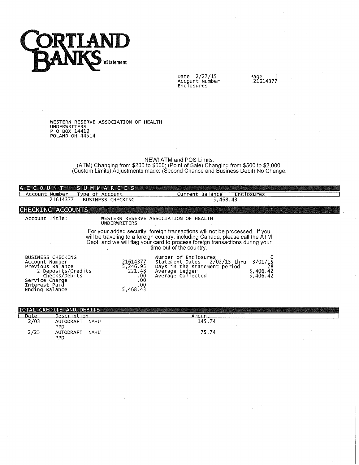

Date 2/27/15<br>Account Number<br>Enclosures

Page 1<br>21614377

 $\cdot$ 

WESTERN RESERVE ASSOCIATION OF HEALTH<br>UNDERWRITERS<br>P O BOX 14419<br>POLAND OH 44514

NEW! ATM and POS Limits:<br>(ATM) Changing from \$200 to \$500; (Point of Sale) Changing from \$500 to \$2,000;<br>(Custom Limits) Adjustments made; (Second Chance and Business Debit) No Change.

| <b>A G G G G G D U B V B N B B</b><br>Account Number<br>21614377                                                                                           | STUTIMENTA REFERS<br>[vpe of Account<br><b>BUSINESS CHECKING</b> | Current Balance<br>5,468.43                                                                                                                                                                                                                                              | <b>Enclosures</b>                       |
|------------------------------------------------------------------------------------------------------------------------------------------------------------|------------------------------------------------------------------|--------------------------------------------------------------------------------------------------------------------------------------------------------------------------------------------------------------------------------------------------------------------------|-----------------------------------------|
| <b>CHECKING ACCOUNTS</b>                                                                                                                                   |                                                                  |                                                                                                                                                                                                                                                                          |                                         |
| Account Title:                                                                                                                                             | <b>UNDERWRITERS</b>                                              | WESTERN RESERVE ASSOCIATION OF HEALTH                                                                                                                                                                                                                                    |                                         |
|                                                                                                                                                            |                                                                  | For your added security, foreign transactions will not be processed. If you<br>will be traveling to a foreign country, including Canada, please call the ATM<br>Dept. and we will flag your card to process foreign transactions during your<br>time out of the country. |                                         |
| <b>BUSINESS CHECKING</b><br>Account Number<br>Previous Balance<br>2 Deposits/Credits<br>Checks/Debits<br>Service Charge<br>Interest Paid<br>Ending Balance | 21614377<br>5,246.95<br>221.48<br>.00<br>.00<br>.00<br>5,468.43  | Number of Enclosures<br>Statement Dates 2/02/15 thru<br>Days in the statement period<br>Average Ledger<br>Average Collected                                                                                                                                              | $3/01/15$<br>28<br>5,406.42<br>5,406.42 |

|      | <b>TOTAL CREDITS AND DEBITS</b>        |        |  |
|------|----------------------------------------|--------|--|
| Date | Description                            | Amouni |  |
| 2/03 | <b>NAHU</b><br>AUTODRAFT<br><b>PPD</b> | 145.74 |  |
| 2/23 | <b>NAHU</b><br><b>AUTODRAFT</b><br>PPD | 75.74  |  |